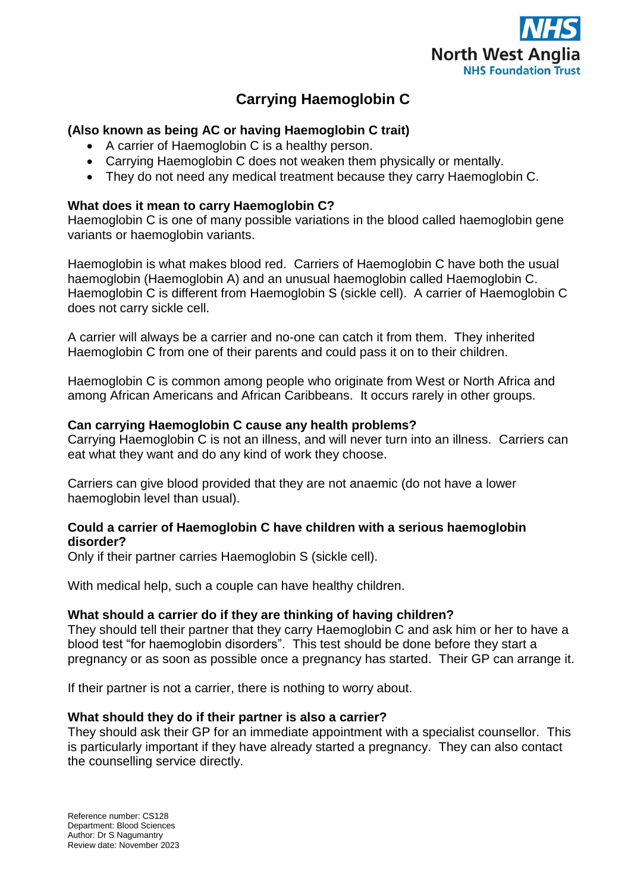

# **Carrying Haemoglobin C**

## **(Also known as being AC or having Haemoglobin C trait)**

- A carrier of Haemoglobin C is a healthy person.
- Carrying Haemoglobin C does not weaken them physically or mentally.
- They do not need any medical treatment because they carry Haemoglobin C.

## **What does it mean to carry Haemoglobin C?**

Haemoglobin C is one of many possible variations in the blood called haemoglobin gene variants or haemoglobin variants.

Haemoglobin is what makes blood red. Carriers of Haemoglobin C have both the usual haemoglobin (Haemoglobin A) and an unusual haemoglobin called Haemoglobin C. Haemoglobin C is different from Haemoglobin S (sickle cell). A carrier of Haemoglobin C does not carry sickle cell.

A carrier will always be a carrier and no-one can catch it from them. They inherited Haemoglobin C from one of their parents and could pass it on to their children.

Haemoglobin C is common among people who originate from West or North Africa and among African Americans and African Caribbeans. It occurs rarely in other groups.

## **Can carrying Haemoglobin C cause any health problems?**

Carrying Haemoglobin C is not an illness, and will never turn into an illness. Carriers can eat what they want and do any kind of work they choose.

Carriers can give blood provided that they are not anaemic (do not have a lower haemoglobin level than usual).

## **Could a carrier of Haemoglobin C have children with a serious haemoglobin disorder?**

Only if their partner carries Haemoglobin S (sickle cell).

With medical help, such a couple can have healthy children.

## **What should a carrier do if they are thinking of having children?**

They should tell their partner that they carry Haemoglobin C and ask him or her to have a blood test "for haemoglobin disorders". This test should be done before they start a pregnancy or as soon as possible once a pregnancy has started. Their GP can arrange it.

If their partner is not a carrier, there is nothing to worry about.

## **What should they do if their partner is also a carrier?**

They should ask their GP for an immediate appointment with a specialist counsellor. This is particularly important if they have already started a pregnancy. They can also contact the counselling service directly.